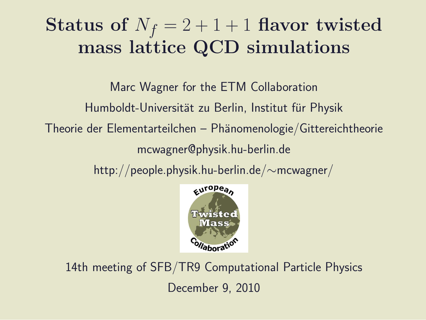## Status of  $N_f = 2 + 1 + 1$  flavor twisted mass lattice QCD simulations

Marc Wagner for the ETM Collaboration Humboldt-Universität zu Berlin, Institut für Physik  $Theorie der Elementarteilchen – Phänomenologie/Gittereichtheorie$ mcwagner@physik.hu-berlin.de

http://people.physik.hu-berlin.de/∼mcwagner/



14th meeting of SFB/TR9 Computational Particle Physics December 9, 2010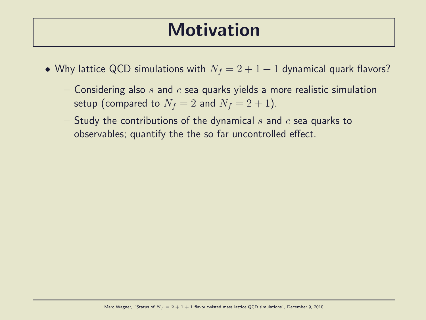#### **Motivation**

- Why lattice QCD simulations with  $N_f = 2 + 1 + 1$  dynamical quark flavors?
	- Considering also s and c sea quarks yields a more realistic simulation setup (compared to  $N_f = 2$  and  $N_f = 2 + 1$ ).
	- Study the contributions of the dynamical s and  $c$  sea quarks to observables; quantify the the so far uncontrolled effect.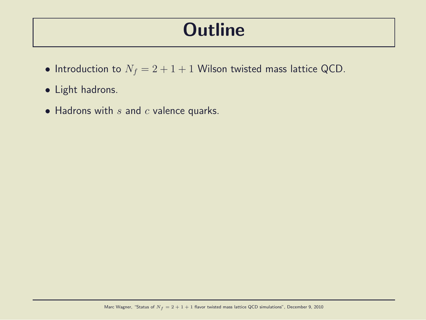#### **Outline**

- Introduction to  $N_f = 2 + 1 + 1$  Wilson twisted mass lattice QCD.
- Light hadrons.
- Hadrons with  $s$  and  $c$  valence quarks.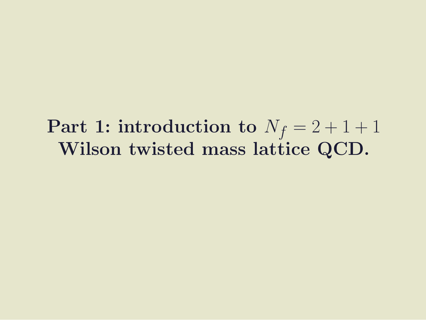#### Part 1: introduction to  $N_f = 2 + 1 + 1$ Wilson twisted mass lattice QCD.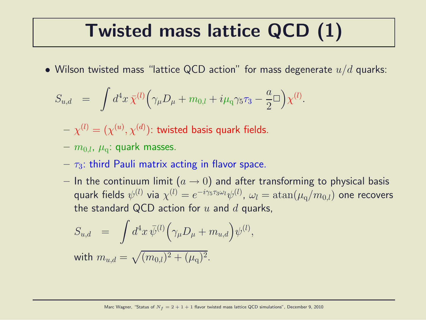## Twisted mass lattice QCD (1)

• Wilson twisted mass "lattice QCD action" for mass degenerate  $u/d$  quarks:

$$
S_{u,d} = \int d^4x \,\bar{\chi}^{(l)} \Big( \gamma_\mu D_\mu + m_{0,l} + i\mu_q \gamma_5 \tau_3 - \frac{a}{2} \Box \Big) \chi^{(l)}.
$$

- $\gamma=\gamma^{(l)}=(\chi^{(u)},\chi^{(d)})$ : twisted basis quark fields.
- $m_{0,l}$ ,  $\mu_{\rm q}$ : quark masses.
- $-\tau_3$ : third Pauli matrix acting in flavor space.
- In the continuum limit  $(a \rightarrow 0)$  and after transforming to physical basis quark fields  $\psi^{(l)}$  via  $\chi^{(l)}=e^{-i\gamma_5\tau_3\omega_l}\psi^{(l)}$ ,  $\omega_l=\text{atan}(\mu_{\text{q}}/m_{0,l})$  one recovers the standard QCD action for  $u$  and  $d$  quarks,

$$
S_{u,d} = \int d^4x \,\bar{\psi}^{(l)} \Big(\gamma_\mu D_\mu + m_{u,d}\Big) \psi^{(l)},
$$

with  $m_{u,d} = \sqrt{(m_{0,l})^2 + (\mu_{\rm q})^2}.$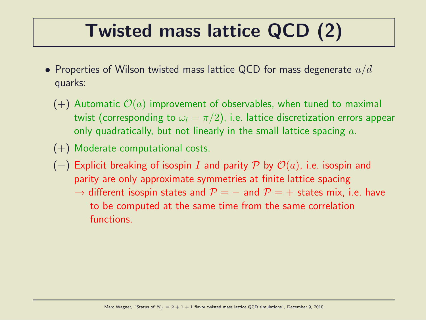# Twisted mass lattice QCD (2)

- Properties of Wilson twisted mass lattice QCD for mass degenerate  $u/d$ quarks:
	- $(+)$  Automatic  $\mathcal{O}(a)$  improvement of observables, when tuned to maximal twist (corresponding to  $\omega_l = \pi/2$ ), i.e. lattice discretization errors appear only quadratically, but not linearly in the small lattice spacing  $a$ .
	- (+) Moderate computational costs.
	- (-) Explicit breaking of isospin I and parity P by  $\mathcal{O}(a)$ , i.e. isospin and parity are only approximate symmetries at finite lattice spacing
		- $\rightarrow$  different isospin states and  $P = -$  and  $P = +$  states mix, i.e. have to be computed at the same time from the same correlation functions.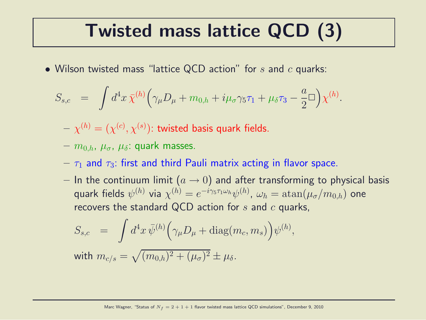## Twisted mass lattice QCD (3)

• Wilson twisted mass "lattice QCD action" for  $s$  and  $c$  quarks:

$$
S_{s,c} = \int d^4x \,\bar{\chi}^{(h)}\Big(\gamma_\mu D_\mu + m_{0,h} + i\mu_\sigma \gamma_5 \tau_1 + \mu_\delta \tau_3 - \frac{a}{2}\Box\Big) \chi^{(h)}.
$$

- $\gamma=\gamma^{(h)}=(\chi^{(c)},\chi^{(s)})$ : twisted basis quark fields.
- $-m_{0,h}, \mu_{\sigma}, \mu_{\delta}$ : quark masses.
- $-\tau_1$  and  $\tau_3$ : first and third Pauli matrix acting in flavor space.
- In the continuum limit  $(a \rightarrow 0)$  and after transforming to physical basis quark fields  $\psi^{(h)}$  via  $\chi^{(h)}=e^{-i\gamma_5\tau_1\omega_h}\psi^{(h)}$ ,  $\omega_h=\text{atan}(\mu_{\sigma}/m_{0,h})$  one recovers the standard QCD action for  $s$  and  $c$  quarks,

$$
S_{s,c} = \int d^4x \,\overline{\psi}^{(h)} \Big(\gamma_\mu D_\mu + \text{diag}(m_c, m_s)\Big) \psi^{(h)},
$$

with  $m_{c/s}=\sqrt{(m_{0,h})^2+(\mu_\sigma)^2}\pm\mu_\delta.$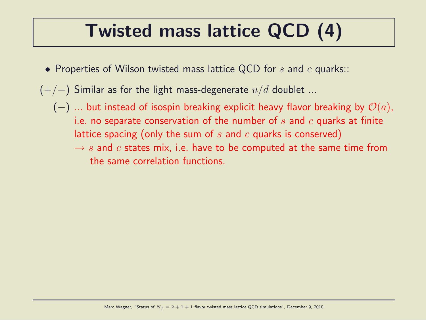## Twisted mass lattice QCD (4)

- Properties of Wilson twisted mass lattice QCD for  $s$  and  $c$  quarks::
- $(+/-)$  Similar as for the light mass-degenerate  $u/d$  doublet ...
	- (-) ... but instead of isospin breaking explicit heavy flavor breaking by  $\mathcal{O}(a)$ , i.e. no separate conservation of the number of  $s$  and  $c$  quarks at finite lattice spacing (only the sum of s and c quarks is conserved)
		- $\rightarrow s$  and c states mix, i.e. have to be computed at the same time from the same correlation functions.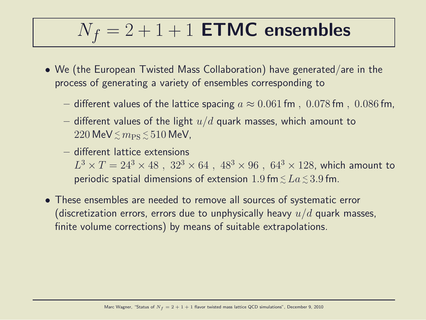# $N_f = 2 + 1 + 1$  **ETMC** ensembles

- We (the European Twisted Mass Collaboration) have generated/are in the process of generating a variety of ensembles corresponding to
	- different values of the lattice spacing  $a \approx 0.061$  fm,  $0.078$  fm,  $0.086$  fm,
	- different values of the light  $u/d$  quark masses, which amount to  $220\,\text{MeV}\, \lesssim m_\text{PS}\, \lesssim 510\,\text{MeV}$ ,
	- different lattice extensions  $L^3\times T=24^3\times 48\,\,,\,\,32^3\times 64\,\,,\,\,48^3\times 96\,\,,\,\,64^3\times 128$ , which amount to periodic spatial dimensions of extension  $1.9\,\mathsf{fm}\,{\lesssim}\,La\,{\lesssim}\,3.9\,\mathsf{fm}.$
- These ensembles are needed to remove all sources of systematic error (discretization errors, errors due to unphysically heavy  $u/d$  quark masses, finite volume corrections) by means of suitable extrapolations.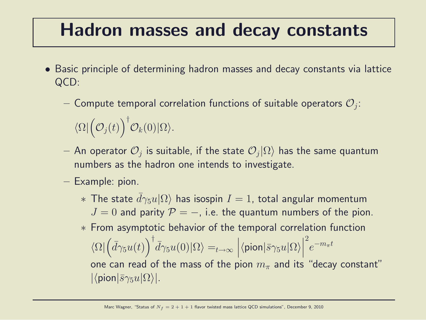#### Hadron masses and decay constants

- Basic principle of determining hadron masses and decay constants via lattice QCD:
	- $-$  Compute temporal correlation functions of suitable operators  $\mathcal{O}_j$ :  $\langle \Omega | \left( \mathcal{O}_j(t) \right)^\dagger \mathcal{O}_k(0) | \Omega \rangle.$
	- $-$  An operator  $\mathcal{O}_j$  is suitable, if the state  $\mathcal{O}_j|\Omega\rangle$  has the same quantum numbers as the hadron one intends to investigate.
	- Example: pion.
		- $∗$  The state  $d\gamma_5u|\Omega\rangle$  has isospin  $I = 1$ , total angular momentum  $J = 0$  and parity  $\mathcal{P} = -$ , i.e. the quantum numbers of the pion.
		- ∗ From asymptotic behavior of the temporal correlation function  $\langle \Omega | \left( \bar{d}\gamma_5 u(t) \right)^{\dagger} \bar{d}\gamma_5 u(0) | \Omega \rangle =_{t \to \infty}$  $\left|\langle \mathsf{pion}|\bar{s}\gamma_5 u|\Omega\rangle\right|$  $\overline{\phantom{a}}$  $\vert$ 2  $e^{-m_\pi t}$ one can read of the mass of the pion  $m<sub>\pi</sub>$  and its "decay constant"  $|\langle \text{pion}|\bar{s}\gamma_5 u|\Omega\rangle|.$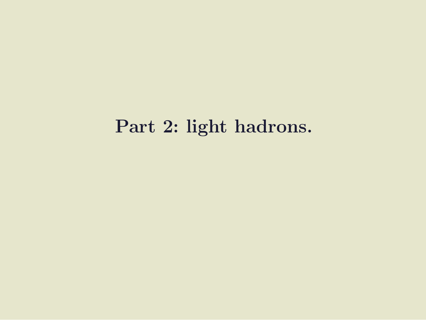#### Part 2: light hadrons.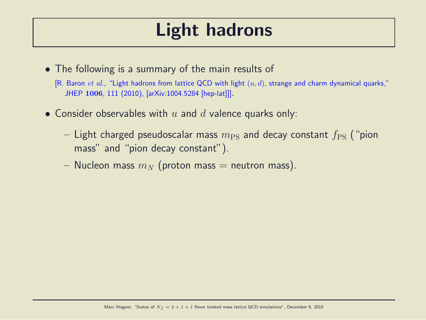#### Light hadrons

• The following is a summary of the main results of

[R. Baron et al., "Light hadrons from lattice QCD with light  $(u, d)$ , strange and charm dynamical quarks," JHEP <sup>1006</sup>, 111 (2010), [arXiv:1004.5284 [hep-lat]]].

- Consider observables with  $u$  and  $d$  valence quarks only:
	- Light charged pseudoscalar mass  $m_{\rm PS}$  and decay constant  $f_{\rm PS}$  ("pion mass" and "pion decay constant").
	- Nucleon mass  $m_N$  (proton mass = neutron mass).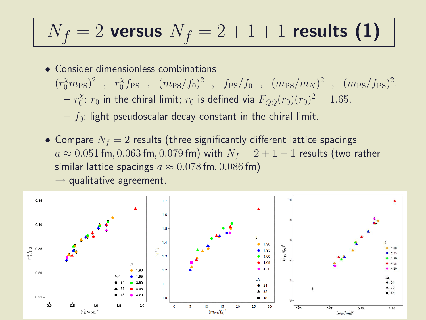# $N_f = 2$  versus  $N_f = 2 + 1 + 1$  results (1)

- Consider dimensionless combinations  $(r_0^{\chi}m_{\rm PS})^2$ ,  $r_0^{\chi}$  $\int_0^{\chi} f_{\rm PS}$  ,  $(m_{\rm PS}/f_0)^2$  ,  $f_{\rm PS}/f_0$  ,  $(m_{\rm PS}/m_N)^2$  ,  $(m_{\rm PS}/f_{\rm PS})^2$ .  $- r_0^{\chi}$  $\alpha_0^\chi \colon r_0$  in the chiral limit;  $r_0$  is defined via  $F_{Q\bar{Q}}(r_0)(r_0)^2=1.65.$ 
	- $f_0$ : light pseudoscalar decay constant in the chiral limit.
- Compare  $N_f = 2$  results (three significantly different lattice spacings  $a \approx 0.051$  fm, 0.063 fm, 0.079 fm) with  $N_f = 2 + 1 + 1$  results (two rather similar lattice spacings  $a \approx 0.078$  fm, 0.086 fm)



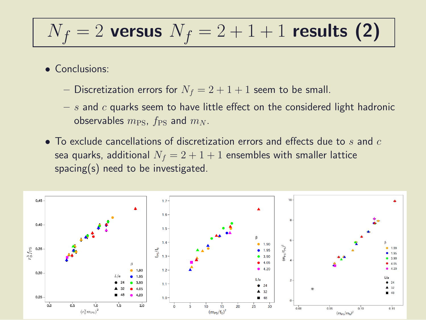# $N_f = 2$  versus  $N_f = 2 + 1 + 1$  results (2)

- Conclusions:
	- Discretization errors for  $N_f = 2 + 1 + 1$  seem to be small.
	- $s$  and c quarks seem to have little effect on the considered light hadronic observables  $m_{\rm PS}$ ,  $f_{\rm PS}$  and  $m_N$ .
- To exclude cancellations of discretization errors and effects due to s and c sea quarks, additional  $N_f = 2 + 1 + 1$  ensembles with smaller lattice spacing(s) need to be investigated.

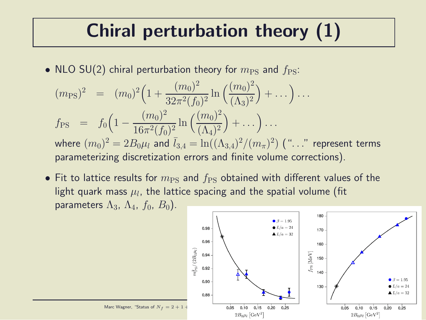## Chiral perturbation theory (1)

• NLO SU(2) chiral perturbation theory for  $m_{PS}$  and  $f_{PS}$ :

$$
(m_{\rm PS})^2 = (m_0)^2 \left( 1 + \frac{(m_0)^2}{32\pi^2 (f_0)^2} \ln \left( \frac{(m_0)^2}{(\Lambda_3)^2} \right) + \dots \right) \dots
$$
  
\n
$$
f_{\rm PS} = f_0 \left( 1 - \frac{(m_0)^2}{16\pi^2 (f_0)^2} \ln \left( \frac{(m_0)^2}{(\Lambda_4)^2} \right) + \dots \right) \dots
$$
  
\nwhere  $(m_0)^2 = 2B_0\mu_l$  and  $\bar{l}_{3,4} = \ln((\Lambda_{3,4})^2/(m_\pi)^2)$  ("..." represent terms  
\nparametricing discretization errors and finite volume corrections).

• Fit to lattice results for  $m_{\text{PS}}$  and  $f_{\text{PS}}$  obtained with different values of the light quark mass  $\mu_l$ , the lattice spacing and the spatial volume (fit parameters  $\Lambda_3$ ,  $\Lambda_4$ ,  $f_0$ ,  $B_0$ ).

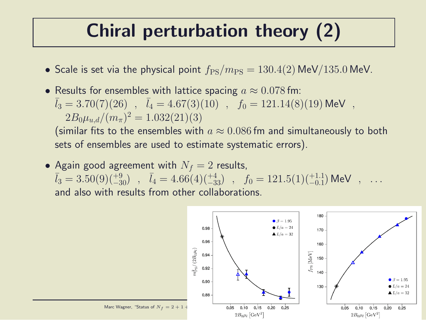## Chiral perturbation theory (2)

- Scale is set via the physical point  $f_{PS}/m_{PS} = 130.4(2)$  MeV/135.0 MeV.
- Results for ensembles with lattice spacing  $a \approx 0.078$  fm:  $\bar{l}_3 = 3.70(7)(26)$  ,  $\bar{l}_4 = 4.67(3)(10)$  ,  $f_0 = 121.14(8)(19)$  MeV ,  $2B_0\mu_{u,d}/(m_\pi)^2=1.032(21)(3)$

(similar fits to the ensembles with  $a \approx 0.086$  fm and simultaneously to both sets of ensembles are used to estimate systematic errors).

• Again good agreement with  $N_f = 2$  results,  $\bar{l}_3 = 3.50(9)(^{+9}_{-30})$  ,  $\bar{l}_4 = 4.66(4)(^{+4}_{-33})$  ,  $f_0 = 121.5(1)(^{+1.1}_{-0.1})$  MeV ,  $\ldots$ and also with results from other collaborations.

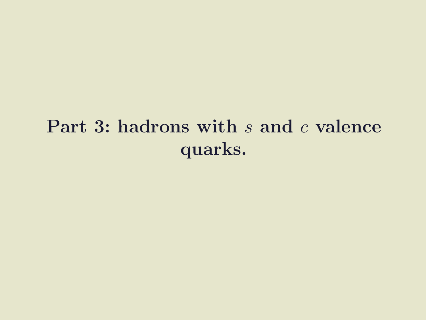## Part 3: hadrons with s and c valence quarks.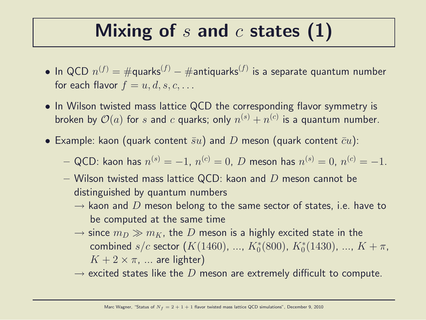### Mixing of  $s$  and  $c$  states  $(1)$

- $\bullet$  In QCD  $n^{(f)}=\#\textsf{quarks}^{(f)}-\#\textsf{antiquarks}^{(f)}$  is a separate quantum number for each flavor  $f = u, d, s, c, \ldots$
- In Wilson twisted mass lattice QCD the corresponding flavor symmetry is broken by  $\mathcal{O}(a)$  for  $s$  and  $c$  quarks; only  $n^{(s)}+n^{(c)}$  is a quantum number.
- Example: kaon (quark content  $\bar{su}$ ) and D meson (quark content  $\bar{c}u$ ):
	- $-$  QCD: kaon has  $n^{(s)}=-1,~n^{(c)}=0,~D$  meson has  $n^{(s)}=0,~n^{(c)}=-1.$
	- Wilson twisted mass lattice QCD: kaon and  $D$  meson cannot be distinguished by quantum numbers
		- $\rightarrow$  kaon and D meson belong to the same sector of states, i.e. have to be computed at the same time
		- $\rightarrow$  since  $m_D \gg m_K$ , the D meson is a highly excited state in the combined  $s/c$  sector  $(K(1460), ..., K_0^*(800), K_0^*(1430), ..., K + \pi$ ,  $K + 2 \times \pi$ , ... are lighter)
		- $\rightarrow$  excited states like the D meson are extremely difficult to compute.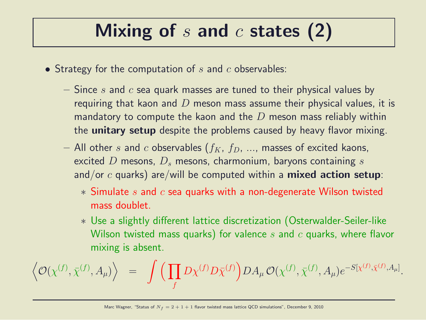## Mixing of  $s$  and  $c$  states (2)

- Strategy for the computation of  $s$  and  $c$  observables:
	- Since s and c sea quark masses are tuned to their physical values by requiring that kaon and  $D$  meson mass assume their physical values, it is mandatory to compute the kaon and the  $D$  meson mass reliably within the **unitary setup** despite the problems caused by heavy flavor mixing.
	- All other s and c observables  $(f_K, f_D, \ldots,$  masses of excited kaons, excited D mesons,  $D_s$  mesons, charmonium, baryons containing s and/or  $c$  quarks) are/will be computed within a **mixed action setup**:
		- $*$  Simulate s and c sea quarks with a non-degenerate Wilson twisted mass doublet.
		- ∗ Use a slightly different lattice discretization (Osterwalder-Seiler-like Wilson twisted mass quarks) for valence s and  $c$  quarks, where flavor mixing is absent.

$$
\left\langle \mathcal{O}(\chi^{(f)},\bar{\chi}^{(f)},A_{\mu}) \right\rangle \;\;=\;\; \int \Big( \prod_f D\chi^{(f)} D\bar{\chi}^{(f)} \Big) DA_{\mu} \, \mathcal{O}(\chi^{(f)},\bar{\chi}^{(f)},A_{\mu}) e^{-S[\chi^{(f)},\bar{\chi}^{(f)},A_{\mu}]}.
$$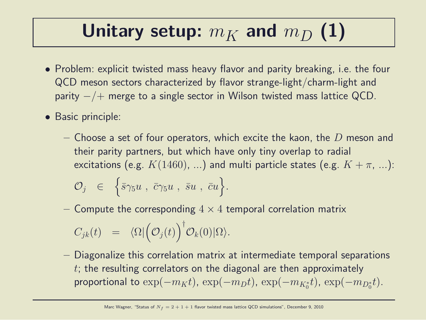## Unitary setup:  $m_K$  and  $m_D$  (1)

- Problem: explicit twisted mass heavy flavor and parity breaking, i.e. the four QCD meson sectors characterized by flavor strange-light/charm-light and parity  $-/+$  merge to a single sector in Wilson twisted mass lattice QCD.
- Basic principle:
	- Choose a set of four operators, which excite the kaon, the  $D$  meson and their parity partners, but which have only tiny overlap to radial excitations (e.g.  $K(1460)$ , ...) and multi particle states (e.g.  $K + \pi$ , ...):  $\mathcal{O}_j \;\;\in\;\; \left\{\bar{s}\gamma_5u\;,\; \bar{c}\gamma_5u\;,\; \bar{s}u\;,\; \bar{c}u\right\}.$
	- Compute the corresponding  $4 \times 4$  temporal correlation matrix

$$
C_{jk}(t) = \langle \Omega | \Big( \mathcal{O}_j(t) \Big)^{\dagger} \mathcal{O}_k(0) | \Omega \rangle.
$$

– Diagonalize this correlation matrix at intermediate temporal separations  $t$ ; the resulting correlators on the diagonal are then approximately proportional to  $\exp(-m_K t)$ ,  $\exp(-m_D t)$ ,  $\exp(-m_{K_0^*} t)$ ,  $\exp(-m_{D_0^*} t)$ .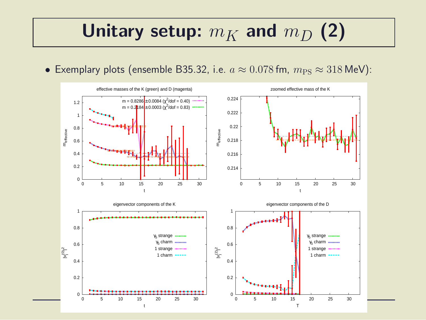#### Unitary setup:  $m_K$  and  $m_D$  (2)

• Exemplary plots (ensemble B35.32, i.e.  $a \approx 0.078$  fm,  $m_{PS} \approx 318$  MeV):

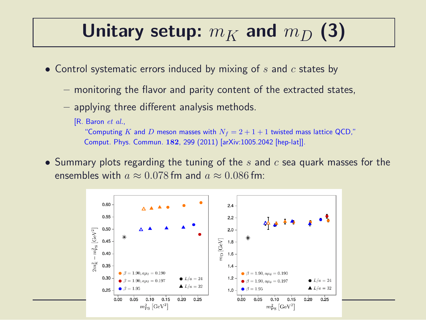#### Unitary setup:  $m_K$  and  $m_D$  (3)

- Control systematic errors induced by mixing of  $s$  and  $c$  states by
	- monitoring the flavor and parity content of the extracted states,
	- applying three different analysis methods.

#### [R. Baron et al.,

"Computing K and D meson masses with  $N_f = 2 + 1 + 1$  twisted mass lattice QCD," Comput. Phys. Commun. 182, 299 (2011) [arXiv:1005.2042 [hep-lat]].

• Summary plots regarding the tuning of the s and  $c$  sea quark masses for the ensembles with  $a \approx 0.078$  fm and  $a \approx 0.086$  fm:

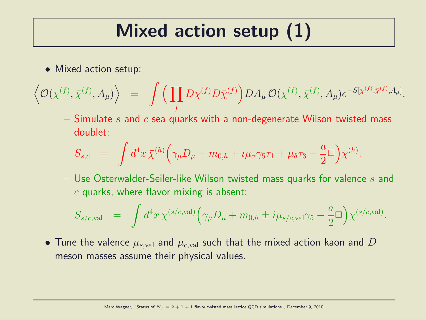## Mixed action setup (1)

• Mixed action setup:

$$
\left\langle \mathcal{O}(\chi^{(f)},\bar{\chi}^{(f)},A_{\mu}) \right\rangle \;\;=\;\; \int \Big( \prod_f D\chi^{(f)} D\bar{\chi}^{(f)} \Big) DA_{\mu} \, \mathcal{O}(\chi^{(f)},\bar{\chi}^{(f)},A_{\mu}) e^{-S[\chi^{(f)},\bar{\chi}^{(f)},A_{\mu}]}.
$$

– Simulate s and c sea quarks with a non-degenerate Wilson twisted mass doublet:

$$
S_{s,c} = \int d^4x \,\overline{\chi}^{(h)}\Big(\gamma_\mu D_\mu + m_{0,h} + i\mu_\sigma\gamma_5\tau_1 + \mu_\delta\tau_3 - \frac{a}{2}\Box\Big)\chi^{(h)}.
$$

 $-$  Use Osterwalder-Seiler-like Wilson twisted mass quarks for valence  $s$  and  $c$  quarks, where flavor mixing is absent:

$$
S_{s/c,\text{val}} = \int d^4x \,\bar{\chi}^{(s/c,\text{val})} \Big( \gamma_\mu D_\mu + m_{0,h} \pm i\mu_{s/c,\text{val}} \gamma_5 - \frac{a}{2} \Box \Big) \chi^{(s/c,\text{val})}.
$$

• Tune the valence  $\mu_{s, \text{val}}$  and  $\mu_{c, \text{val}}$  such that the mixed action kaon and  $D$ meson masses assume their physical values.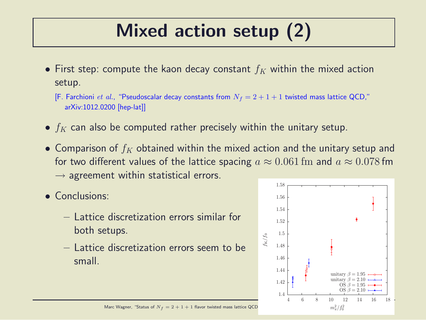# Mixed action setup (2)

- First step: compute the kaon decay constant  $f_K$  within the mixed action setup.
	- [F. Farchioni *et al.*, "Pseudoscalar decay constants from  $N_f = 2 + 1 + 1$  twisted mass lattice QCD," arXiv:1012.0200 [hep-lat]]
- $f_K$  can also be computed rather precisely within the unitary setup.
- Comparison of  $f_K$  obtained within the mixed action and the unitary setup and for two different values of the lattice spacing  $a \approx 0.061$  fm and  $a \approx 0.078$  fm  $\rightarrow$  agreement within statistical errors.
- Conclusions:
	- Lattice discretization errors similar for both setups.
	- Lattice discretization errors seem to be small.

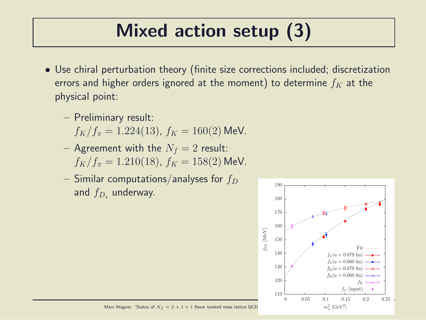# Mixed action setup (3)

- Use chiral perturbation theory (finite size corrections included; discretization errors and higher orders ignored at the moment) to determine  $f_K$  at the physical point:
	- Preliminary result:  $f_K/f_\pi = 1.224(13)$ ,  $f_K = 160(2)$  MeV.
	- Agreement with the  $N_f = 2$  result:  $f_K/f_\pi = 1.210(18)$ ,  $f_K = 158(2)$  MeV.
	- Similar computations/analyses for  $f_D$ and  $f_{D_s}$  underway.